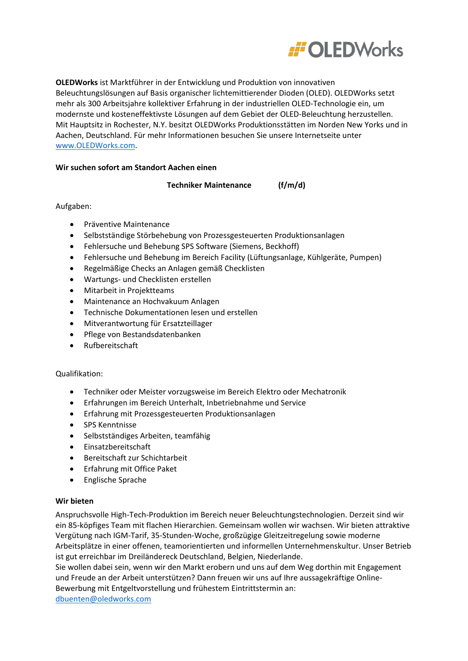

**OLEDWorks** ist Marktführer in der Entwicklung und Produktion von innovativen Beleuchtungslösungen auf Basis organischer lichtemittierender Dioden (OLED). OLEDWorks setzt mehr als 300 Arbeitsjahre kollektiver Erfahrung in der industriellen OLED-Technologie ein, um modernste und kosteneffektivste Lösungen auf dem Gebiet der OLED-Beleuchtung herzustellen. Mit Hauptsitz in Rochester, N.Y. besitzt OLEDWorks Produktionsstätten im Norden New Yorks und in Aachen, Deutschland. Für mehr Informationen besuchen Sie unsere Internetseite unter [www.OLEDWorks.com.](http://www.oledworks.com/)

# **Wir suchen sofort am Standort Aachen einen**

**Techniker Maintenance (f/m/d)** 

Aufgaben:

- Präventive Maintenance
- Selbstständige Störbehebung von Prozessgesteuerten Produktionsanlagen
- Fehlersuche und Behebung SPS Software (Siemens, Beckhoff)
- Fehlersuche und Behebung im Bereich Facility (Lüftungsanlage, Kühlgeräte, Pumpen)
- Regelmäßige Checks an Anlagen gemäß Checklisten
- Wartungs- und Checklisten erstellen
- Mitarbeit in Projektteams
- Maintenance an Hochvakuum Anlagen
- Technische Dokumentationen lesen und erstellen
- Mitverantwortung für Ersatzteillager
- Pflege von Bestandsdatenbanken
- Rufbereitschaft

# Qualifikation:

- Techniker oder Meister vorzugsweise im Bereich Elektro oder Mechatronik
- Erfahrungen im Bereich Unterhalt, Inbetriebnahme und Service
- Erfahrung mit Prozessgesteuerten Produktionsanlagen
- SPS Kenntnisse
- Selbstständiges Arbeiten, teamfähig
- Einsatzbereitschaft
- Bereitschaft zur Schichtarbeit
- Erfahrung mit Office Paket
- Englische Sprache

# **Wir bieten**

Anspruchsvolle High-Tech-Produktion im Bereich neuer Beleuchtungstechnologien. Derzeit sind wir ein 85-köpfiges Team mit flachen Hierarchien. Gemeinsam wollen wir wachsen. Wir bieten attraktive Vergütung nach IGM-Tarif, 35-Stunden-Woche, großzügige Gleitzeitregelung sowie moderne Arbeitsplätze in einer offenen, teamorientierten und informellen Unternehmenskultur. Unser Betrieb ist gut erreichbar im Dreiländereck Deutschland, Belgien, Niederlande.

Sie wollen dabei sein, wenn wir den Markt erobern und uns auf dem Weg dorthin mit Engagement und Freude an der Arbeit unterstützen? Dann freuen wir uns auf Ihre aussagekräftige Online-Bewerbung mit Entgeltvorstellung und frühestem Eintrittstermin an:

[dbuenten@oledworks.com](mailto:dbuenten@oledworks.com)